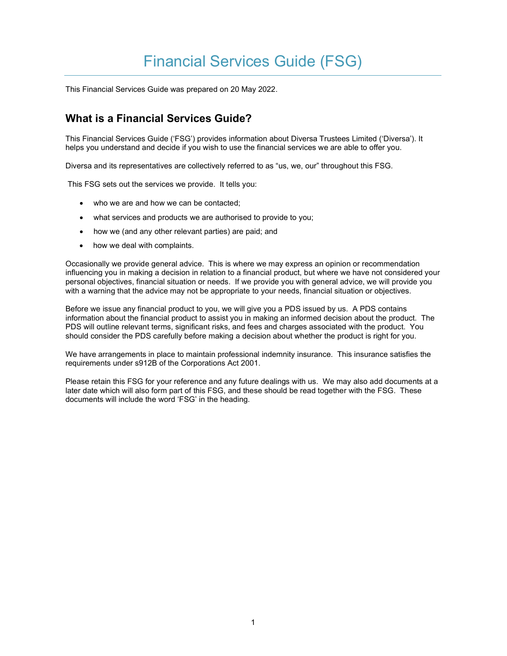# Financial Services Guide (FSG)

This Financial Services Guide was prepared on 20 May 2022.

# What is a Financial Services Guide?

This Financial Services Guide ('FSG') provides information about Diversa Trustees Limited ('Diversa'). It helps you understand and decide if you wish to use the financial services we are able to offer you.

Diversa and its representatives are collectively referred to as "us, we, our" throughout this FSG.

This FSG sets out the services we provide. It tells you:

- who we are and how we can be contacted;
- what services and products we are authorised to provide to you;
- how we (and any other relevant parties) are paid; and
- how we deal with complaints.

Occasionally we provide general advice. This is where we may express an opinion or recommendation influencing you in making a decision in relation to a financial product, but where we have not considered your personal objectives, financial situation or needs. If we provide you with general advice, we will provide you with a warning that the advice may not be appropriate to your needs, financial situation or objectives.

Before we issue any financial product to you, we will give you a PDS issued by us. A PDS contains information about the financial product to assist you in making an informed decision about the product. The PDS will outline relevant terms, significant risks, and fees and charges associated with the product. You should consider the PDS carefully before making a decision about whether the product is right for you.

We have arrangements in place to maintain professional indemnity insurance. This insurance satisfies the requirements under s912B of the Corporations Act 2001.

Please retain this FSG for your reference and any future dealings with us. We may also add documents at a later date which will also form part of this FSG, and these should be read together with the FSG. These documents will include the word 'FSG' in the heading.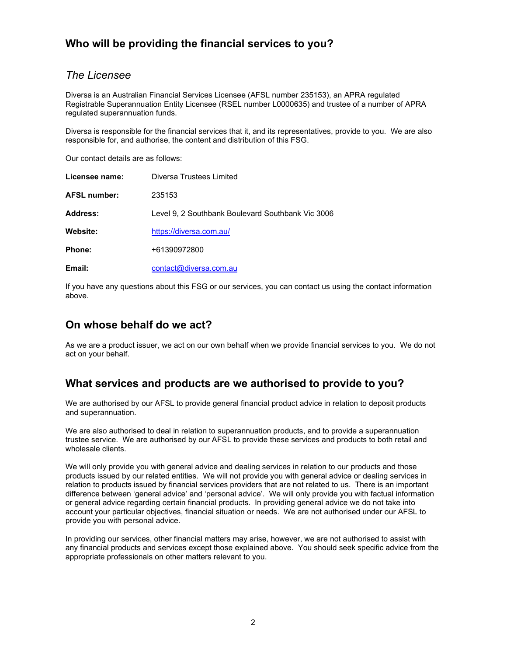# Who will be providing the financial services to you?

### The Licensee

Diversa is an Australian Financial Services Licensee (AFSL number 235153), an APRA regulated Registrable Superannuation Entity Licensee (RSEL number L0000635) and trustee of a number of APRA regulated superannuation funds.

Diversa is responsible for the financial services that it, and its representatives, provide to you. We are also responsible for, and authorise, the content and distribution of this FSG.

Our contact details are as follows:

| Licensee name:      | Diversa Trustees Limited                          |
|---------------------|---------------------------------------------------|
| <b>AFSL number:</b> | 235153                                            |
| Address:            | Level 9, 2 Southbank Boulevard Southbank Vic 3006 |
| Website:            | https://diversa.com.au/                           |
| Phone:              | +61390972800                                      |
| Email:              | contact@diversa.com.au                            |

If you have any questions about this FSG or our services, you can contact us using the contact information above.

### On whose behalf do we act?

As we are a product issuer, we act on our own behalf when we provide financial services to you. We do not act on your behalf.

### What services and products are we authorised to provide to you?

We are authorised by our AFSL to provide general financial product advice in relation to deposit products and superannuation.

We are also authorised to deal in relation to superannuation products, and to provide a superannuation trustee service. We are authorised by our AFSL to provide these services and products to both retail and wholesale clients.

We will only provide you with general advice and dealing services in relation to our products and those products issued by our related entities. We will not provide you with general advice or dealing services in relation to products issued by financial services providers that are not related to us. There is an important difference between 'general advice' and 'personal advice'. We will only provide you with factual information or general advice regarding certain financial products. In providing general advice we do not take into account your particular objectives, financial situation or needs. We are not authorised under our AFSL to provide you with personal advice.

In providing our services, other financial matters may arise, however, we are not authorised to assist with any financial products and services except those explained above. You should seek specific advice from the appropriate professionals on other matters relevant to you.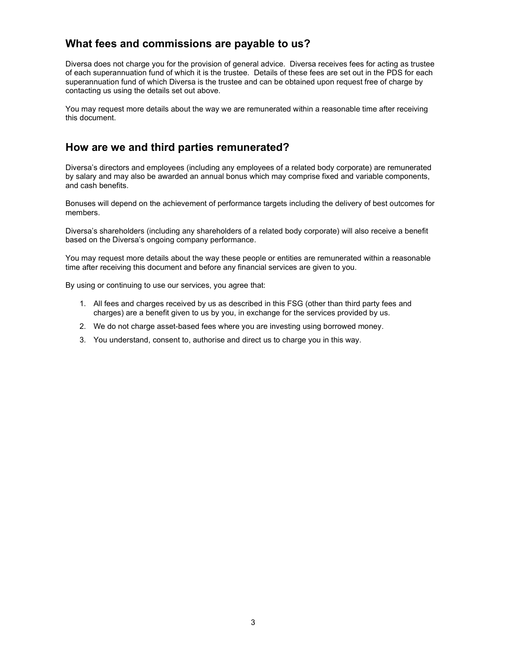# What fees and commissions are payable to us?

Diversa does not charge you for the provision of general advice. Diversa receives fees for acting as trustee of each superannuation fund of which it is the trustee. Details of these fees are set out in the PDS for each superannuation fund of which Diversa is the trustee and can be obtained upon request free of charge by contacting us using the details set out above.

You may request more details about the way we are remunerated within a reasonable time after receiving this document.

# How are we and third parties remunerated?

Diversa's directors and employees (including any employees of a related body corporate) are remunerated by salary and may also be awarded an annual bonus which may comprise fixed and variable components, and cash benefits.

Bonuses will depend on the achievement of performance targets including the delivery of best outcomes for members.

Diversa's shareholders (including any shareholders of a related body corporate) will also receive a benefit based on the Diversa's ongoing company performance.

You may request more details about the way these people or entities are remunerated within a reasonable time after receiving this document and before any financial services are given to you.

By using or continuing to use our services, you agree that:

- 1. All fees and charges received by us as described in this FSG (other than third party fees and charges) are a benefit given to us by you, in exchange for the services provided by us.
- 2. We do not charge asset-based fees where you are investing using borrowed money.
- 3. You understand, consent to, authorise and direct us to charge you in this way.